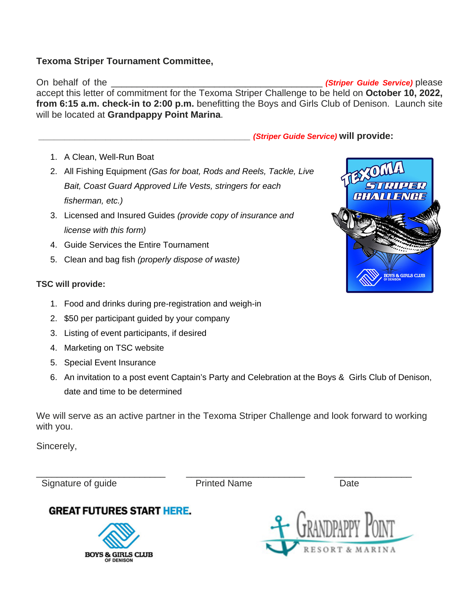## **Texoma Striper Tournament Committee,**

On behalf of the **Exercise 2018 Constant of the Service** of the *Service* please accept this letter of commitment for the Texoma Striper Challenge to be held on **October 10, 2022, from 6:15 a.m. check-in to 2:00 p.m.** benefitting the Boys and Girls Club of Denison. Launch site will be located at **Grandpappy Point Marina**.

## *\_\_\_\_\_\_\_\_\_\_\_\_\_\_\_\_\_\_\_\_\_\_\_\_\_\_\_\_\_\_\_\_\_\_\_\_\_\_\_\_\_ (Striper Guide Service)* **will provide:**

- 1. A Clean, Well-Run Boat
- 2. All Fishing Equipment *(Gas for boat, Rods and Reels, Tackle, Live Bait, Coast Guard Approved Life Vests, stringers for each fisherman, etc.)*
- 3. Licensed and Insured Guides *(provide copy of insurance and license with this form)*
- 4. Guide Services the Entire Tournament
- 5. Clean and bag fish *(properly dispose of waste)*

## **TSC will provide:**

- 1. Food and drinks during pre-registration and weigh-in
- 2. \$50 per participant guided by your company
- 3. Listing of event participants, if desired

**GREAT FUTURES START HERE.** 

**BOYS & GIRLS CLUB** 

- 4. Marketing on TSC website
- 5. Special Event Insurance
- 6. An invitation to a post event Captain's Party and Celebration at the Boys & Girls Club of Denison, date and time to be determined

We will serve as an active partner in the Texoma Striper Challenge and look forward to working with you.

Sincerely,

Signature of guide **Printed Name** Printed Name

\_\_\_\_\_\_\_\_\_\_\_\_\_\_\_\_\_\_\_\_\_\_\_\_\_ \_\_\_\_\_\_\_\_\_\_\_\_\_\_\_\_\_\_\_\_\_\_\_ \_\_\_\_\_\_\_\_\_\_\_\_\_\_\_